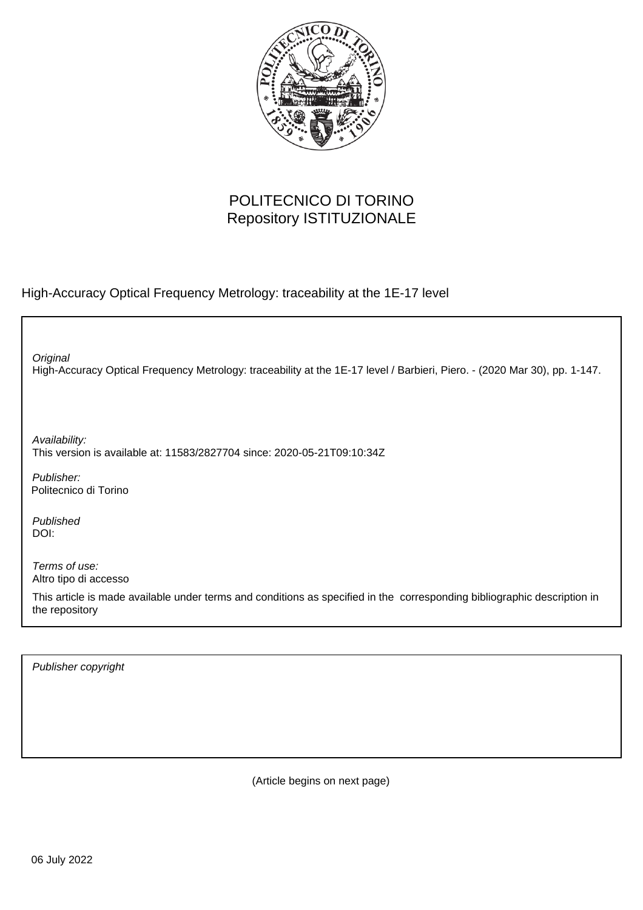

## POLITECNICO DI TORINO Repository ISTITUZIONALE

High-Accuracy Optical Frequency Metrology: traceability at the 1E-17 level

High-Accuracy Optical Frequency Metrology: traceability at the 1E-17 level / Barbieri, Piero. - (2020 Mar 30), pp. 1-147. **Original** 

Availability: This version is available at: 11583/2827704 since: 2020-05-21T09:10:34Z

Publisher: Politecnico di Torino

Published DOI:

Terms of use: Altro tipo di accesso

This article is made available under terms and conditions as specified in the corresponding bibliographic description in the repository

Publisher copyright

(Article begins on next page)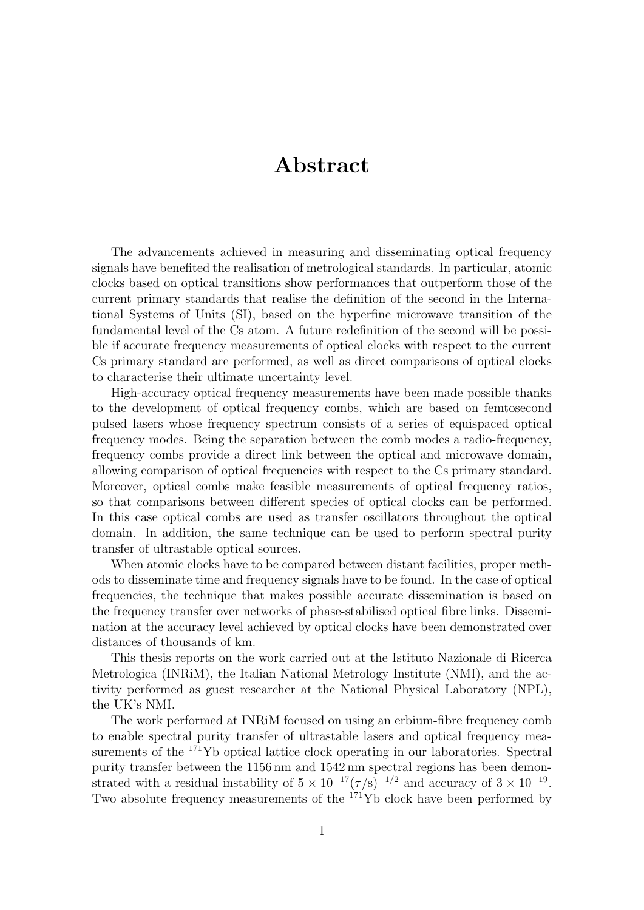## Abstract

The advancements achieved in measuring and disseminating optical frequency signals have benefited the realisation of metrological standards. In particular, atomic clocks based on optical transitions show performances that outperform those of the current primary standards that realise the definition of the second in the International Systems of Units (SI), based on the hyperfine microwave transition of the fundamental level of the Cs atom. A future redefinition of the second will be possible if accurate frequency measurements of optical clocks with respect to the current Cs primary standard are performed, as well as direct comparisons of optical clocks to characterise their ultimate uncertainty level.

High-accuracy optical frequency measurements have been made possible thanks to the development of optical frequency combs, which are based on femtosecond pulsed lasers whose frequency spectrum consists of a series of equispaced optical frequency modes. Being the separation between the comb modes a radio-frequency, frequency combs provide a direct link between the optical and microwave domain, allowing comparison of optical frequencies with respect to the Cs primary standard. Moreover, optical combs make feasible measurements of optical frequency ratios, so that comparisons between different species of optical clocks can be performed. In this case optical combs are used as transfer oscillators throughout the optical domain. In addition, the same technique can be used to perform spectral purity transfer of ultrastable optical sources.

When atomic clocks have to be compared between distant facilities, proper methods to disseminate time and frequency signals have to be found. In the case of optical frequencies, the technique that makes possible accurate dissemination is based on the frequency transfer over networks of phase-stabilised optical fibre links. Dissemination at the accuracy level achieved by optical clocks have been demonstrated over distances of thousands of km.

This thesis reports on the work carried out at the Istituto Nazionale di Ricerca Metrologica (INRiM), the Italian National Metrology Institute (NMI), and the activity performed as guest researcher at the National Physical Laboratory (NPL), the UK's NMI.

The work performed at INRiM focused on using an erbium-fibre frequency comb to enable spectral purity transfer of ultrastable lasers and optical frequency measurements of the <sup>171</sup>Yb optical lattice clock operating in our laboratories. Spectral purity transfer between the 1156 nm and 1542 nm spectral regions has been demonstrated with a residual instability of  $5 \times 10^{-17} (\tau/s)^{-1/2}$  and accuracy of  $3 \times 10^{-19}$ . Two absolute frequency measurements of the <sup>171</sup>Yb clock have been performed by